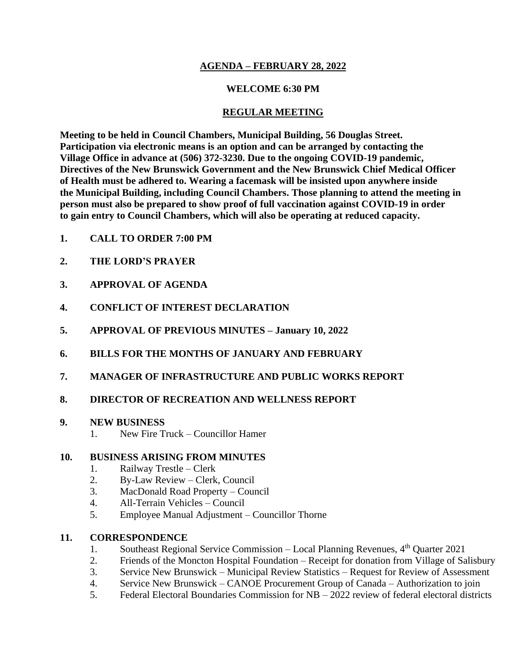## **AGENDA – FEBRUARY 28, 2022**

## **WELCOME 6:30 PM**

#### **REGULAR MEETING**

**Meeting to be held in Council Chambers, Municipal Building, 56 Douglas Street. Participation via electronic means is an option and can be arranged by contacting the Village Office in advance at (506) 372-3230. Due to the ongoing COVID-19 pandemic, Directives of the New Brunswick Government and the New Brunswick Chief Medical Officer of Health must be adhered to. Wearing a facemask will be insisted upon anywhere inside the Municipal Building, including Council Chambers. Those planning to attend the meeting in person must also be prepared to show proof of full vaccination against COVID-19 in order to gain entry to Council Chambers, which will also be operating at reduced capacity.**

- **1. CALL TO ORDER 7:00 PM**
- **2. THE LORD'S PRAYER**
- **3. APPROVAL OF AGENDA**
- **4. CONFLICT OF INTEREST DECLARATION**
- **5. APPROVAL OF PREVIOUS MINUTES – January 10, 2022**
- **6. BILLS FOR THE MONTHS OF JANUARY AND FEBRUARY**
- **7. MANAGER OF INFRASTRUCTURE AND PUBLIC WORKS REPORT**

## **8. DIRECTOR OF RECREATION AND WELLNESS REPORT**

#### **9. NEW BUSINESS**

1. New Fire Truck – Councillor Hamer

## **10. BUSINESS ARISING FROM MINUTES**

- 1. Railway Trestle Clerk
- 2. By-Law Review Clerk, Council
- 3. MacDonald Road Property Council
- 4. All-Terrain Vehicles Council
- 5. Employee Manual Adjustment Councillor Thorne

## **11. CORRESPONDENCE**

- 1. Southeast Regional Service Commission Local Planning Revenues,  $4<sup>th</sup>$  Quarter 2021
- 2. Friends of the Moncton Hospital Foundation Receipt for donation from Village of Salisbury
- 3. Service New Brunswick Municipal Review Statistics Request for Review of Assessment
- 4. Service New Brunswick CANOE Procurement Group of Canada Authorization to join
- 5. Federal Electoral Boundaries Commission for NB 2022 review of federal electoral districts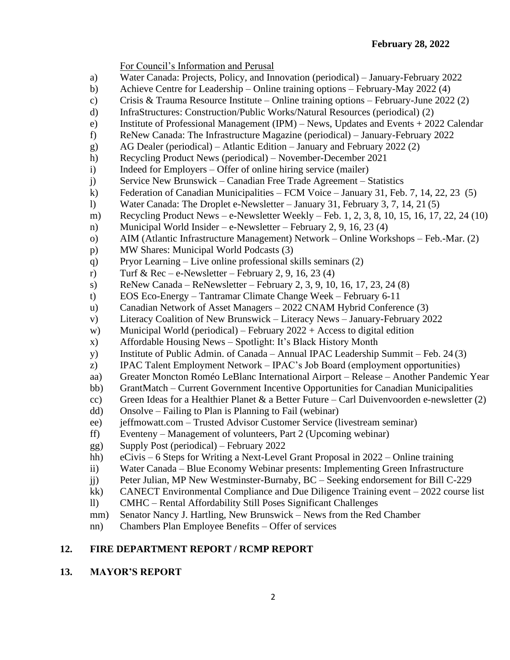For Council's Information and Perusal

- a) Water Canada: Projects, Policy, and Innovation (periodical) January-February 2022
- b) Achieve Centre for Leadership Online training options February-May 2022 (4)
- c) Crisis & Trauma Resource Institute Online training options February-June 2022 (2)
- d) InfraStructures: Construction/Public Works/Natural Resources (periodical) (2)
- e) Institute of Professional Management (IPM) News, Updates and Events + 2022 Calendar
- f) ReNew Canada: The Infrastructure Magazine (periodical) January-February 2022
- g) AG Dealer (periodical) Atlantic Edition January and February 2022 (2)
- h) Recycling Product News (periodical) November-December 2021
- i) Indeed for Employers Offer of online hiring service (mailer)
- j) Service New Brunswick Canadian Free Trade Agreement Statistics
- k) Federation of Canadian Municipalities FCM Voice January 31, Feb. 7, 14, 22, 23 (5)
- l) Water Canada: The Droplet e-Newsletter January 31, February 3, 7, 14, 21 (5)
- m) Recycling Product News e-Newsletter Weekly Feb. 1, 2, 3, 8, 10, 15, 16, 17, 22, 24 (10)
- n) Municipal World Insider e-Newsletter February 2, 9, 16, 23 (4)
- o) AIM (Atlantic Infrastructure Management) Network Online Workshops Feb.-Mar. (2)
- p) MW Shares: Municipal World Podcasts (3)
- q) Pryor Learning Live online professional skills seminars (2)
- r) Turf & Rec e-Newsletter February 2, 9, 16, 23 (4)
- s) ReNew Canada ReNewsletter February 2, 3, 9, 10, 16, 17, 23, 24  $(8)$
- t) EOS Eco-Energy Tantramar Climate Change Week February 6-11
- u) Canadian Network of Asset Managers 2022 CNAM Hybrid Conference (3)
- v) Literacy Coalition of New Brunswick Literacy News January-February 2022
- w) Municipal World (periodical) February  $2022 +$  Access to digital edition
- x) Affordable Housing News Spotlight: It's Black History Month
- y) Institute of Public Admin. of Canada Annual IPAC Leadership Summit Feb. 24 (3)
- z) IPAC Talent Employment Network IPAC's Job Board (employment opportunities)
- aa) Greater Moncton Roméo LeBlanc International Airport Release Another Pandemic Year
- bb) GrantMatch Current Government Incentive Opportunities for Canadian Municipalities
- cc) Green Ideas for a Healthier Planet & a Better Future Carl Duivenvoorden e-newsletter  $(2)$
- dd) Onsolve Failing to Plan is Planning to Fail (webinar)
- ee) jeffmowatt.com Trusted Advisor Customer Service (livestream seminar)
- ff) Eventeny Management of volunteers, Part 2 (Upcoming webinar)
- gg) Supply Post (periodical) February 2022
- hh) eCivis 6 Steps for Writing a Next-Level Grant Proposal in 2022 Online training
- ii) Water Canada Blue Economy Webinar presents: Implementing Green Infrastructure
- jj) Peter Julian, MP New Westminster-Burnaby, BC Seeking endorsement for Bill C-229
- kk) CANECT Environmental Compliance and Due Diligence Training event 2022 course list
- ll) CMHC Rental Affordability Still Poses Significant Challenges
- mm) Senator Nancy J. Hartling, New Brunswick News from the Red Chamber
- nn) Chambers Plan Employee Benefits Offer of services

# **12. FIRE DEPARTMENT REPORT / RCMP REPORT**

## **13. MAYOR'S REPORT**